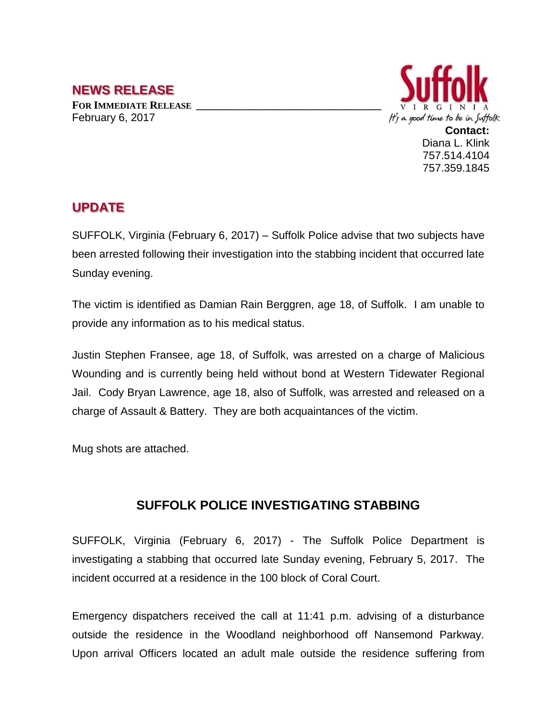## **NEWS RELEASE**

**FOR IMMEDIATE RELEASE \_\_\_\_\_\_\_\_\_\_\_\_\_\_\_\_\_\_\_\_\_\_\_\_\_\_\_\_\_\_\_\_\_\_** February 6, 2017



**Contact:** Diana L. Klink 757.514.4104 757.359.1845

## **UPDATE**

SUFFOLK, Virginia (February 6, 2017) – Suffolk Police advise that two subjects have been arrested following their investigation into the stabbing incident that occurred late Sunday evening.

The victim is identified as Damian Rain Berggren, age 18, of Suffolk. I am unable to provide any information as to his medical status.

Justin Stephen Fransee, age 18, of Suffolk, was arrested on a charge of Malicious Wounding and is currently being held without bond at Western Tidewater Regional Jail. Cody Bryan Lawrence, age 18, also of Suffolk, was arrested and released on a charge of Assault & Battery. They are both acquaintances of the victim.

Mug shots are attached.

## **SUFFOLK POLICE INVESTIGATING STABBING**

SUFFOLK, Virginia (February 6, 2017) - The Suffolk Police Department is investigating a stabbing that occurred late Sunday evening, February 5, 2017. The incident occurred at a residence in the 100 block of Coral Court.

Emergency dispatchers received the call at 11:41 p.m. advising of a disturbance outside the residence in the Woodland neighborhood off Nansemond Parkway. Upon arrival Officers located an adult male outside the residence suffering from